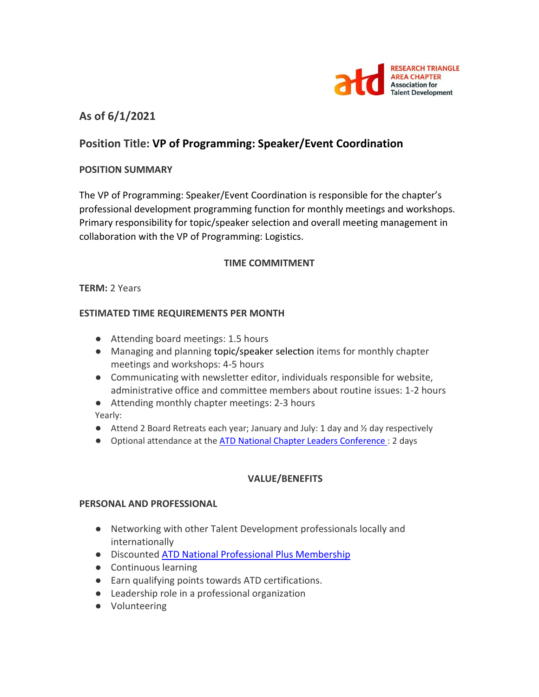

# **As of 6/1/2021**

# **Position Title: VP of Programming: Speaker/Event Coordination**

### **POSITION SUMMARY**

The VP of Programming: Speaker/Event Coordination is responsible for the chapter's professional development programming function for monthly meetings and workshops. Primary responsibility for topic/speaker selection and overall meeting management in collaboration with the VP of Programming: Logistics.

### **TIME COMMITMENT**

#### **TERM:** 2 Years

#### **ESTIMATED TIME REQUIREMENTS PER MONTH**

- Attending board meetings: 1.5 hours
- Managing and planning topic/speaker selection items for monthly chapter meetings and workshops: 4-5 hours
- Communicating with newsletter editor, individuals responsible for website, administrative office and committee members about routine issues: 1-2 hours
- Attending monthly chapter meetings: 2-3 hours Yearly:
- $\bullet$  Attend 2 Board Retreats each year; January and July: 1 day and  $\frac{1}{2}$  day respectively
- Optional attendance at the [ATD National Chapter Leaders Conference :](https://events.td.org/Chapter-Leaders-Conference) 2 days

### **VALUE/BENEFITS**

#### **PERSONAL AND PROFESSIONAL**

- Networking with other Talent Development professionals locally and internationally
- Discounted [ATD National Professional Plus Membership](https://checkout.td.org/Membership)
- Continuous learning
- Earn qualifying points towards ATD certifications.
- Leadership role in a professional organization
- Volunteering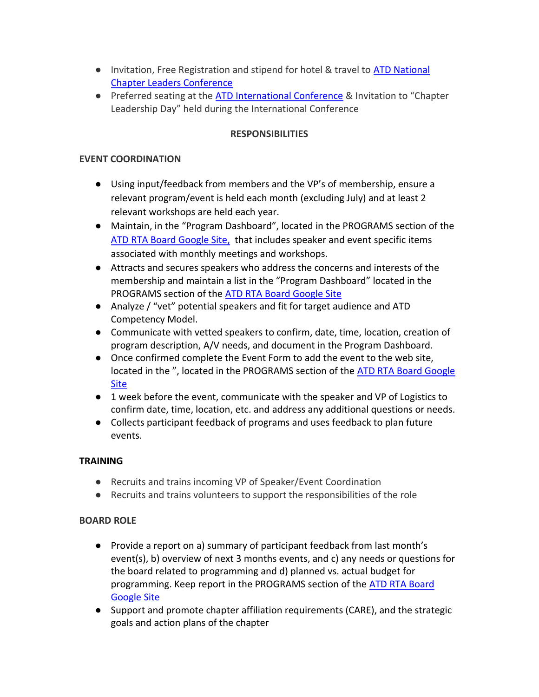- Invitation, Free Registration and stipend for hotel & travel to ATD National [Chapter Leaders Conference](https://events.td.org/Chapter-Leaders-Conference)
- Preferred seating at the [ATD International Conference](https://www.td.org/events) & Invitation to "Chapter Leadership Day" held during the International Conference

# **RESPONSIBILITIES**

### **EVENT COORDINATION**

- Using input/feedback from members and the VP's of membership, ensure a relevant program/event is held each month (excluding July) and at least 2 relevant workshops are held each year.
- Maintain, in the "Program Dashboard", located in the PROGRAMS section of the [ATD RTA Board Google Site,](https://sites.google.com/site/rtaboardofdirectors/home) that includes speaker and event specific items associated with monthly meetings and workshops.
- Attracts and secures speakers who address the concerns and interests of the membership and maintain a list in the "Program Dashboard" located in the PROGRAMS section of th[e ATD RTA Board Google Site](https://sites.google.com/site/rtaboardofdirectors/home)
- Analyze / "vet" potential speakers and fit for target audience and ATD Competency Model.
- Communicate with vetted speakers to confirm, date, time, location, creation of program description, A/V needs, and document in the Program Dashboard.
- Once confirmed complete the Event Form to add the event to the web site, located in the ", located in the PROGRAMS section of the ATD RTA Board Google [Site](https://sites.google.com/site/rtaboardofdirectors/home)
- 1 week before the event, communicate with the speaker and VP of Logistics to confirm date, time, location, etc. and address any additional questions or needs.
- Collects participant feedback of programs and uses feedback to plan future events.

# **TRAINING**

- Recruits and trains incoming VP of Speaker/Event Coordination
- Recruits and trains volunteers to support the responsibilities of the role

# **BOARD ROLE**

- Provide a report on a) summary of participant feedback from last month's event(s), b) overview of next 3 months events, and c) any needs or questions for the board related to programming and d) planned vs. actual budget for programming. Keep report in the PROGRAMS section of the [ATD RTA Board](https://sites.google.com/site/rtaboardofdirectors/home)  [Google Site](https://sites.google.com/site/rtaboardofdirectors/home)
- Support and promote chapter affiliation requirements (CARE), and the strategic goals and action plans of the chapter